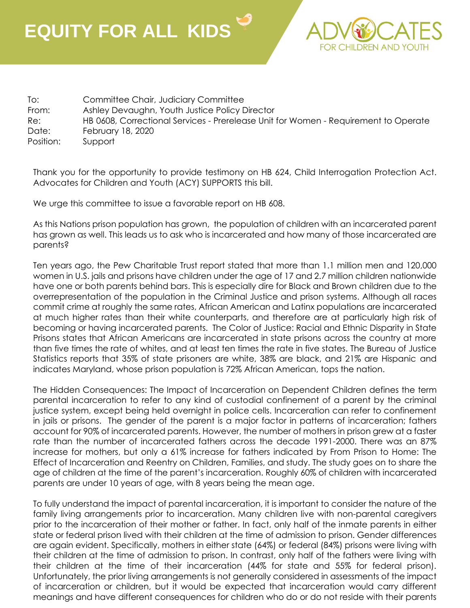## **EQUITY FOR ALL KIDS**



To: Committee Chair, Judiciary Committee From: Ashley Devaughn, Youth Justice Policy Director Re: HB 0608, Correctional Services - Prerelease Unit for Women - Requirement to Operate Date: February 18, 2020 Position: Support

Thank you for the opportunity to provide testimony on HB 624, Child Interrogation Protection Act. Advocates for Children and Youth (ACY) SUPPORTS this bill.

We urge this committee to issue a favorable report on HB 608.

As this Nations prison population has grown, the population of children with an incarcerated parent has grown as well. This leads us to ask who is incarcerated and how many of those incarcerated are parents?

Ten years ago, the Pew Charitable Trust report stated that more than 1.1 million men and 120,000 women in U.S. jails and prisons have children under the age of 17 and 2.7 million children nationwide have one or both parents behind bars. This is especially dire for Black and Brown children due to the overrepresentation of the population in the Criminal Justice and prison systems. Although all races commit crime at roughly the same rates, African American and Latinx populations are incarcerated at much higher rates than their white counterparts, and therefore are at particularly high risk of becoming or having incarcerated parents. The Color of Justice: Racial and Ethnic Disparity in State Prisons states that African Americans are incarcerated in state prisons across the country at more than five times the rate of whites, and at least ten times the rate in five states. The Bureau of Justice Statistics reports that 35% of state prisoners are white, 38% are black, and 21% are Hispanic and indicates Maryland, whose prison population is 72% African American, tops the nation.

The Hidden Consequences: The Impact of Incarceration on Dependent Children defines the term parental incarceration to refer to any kind of custodial confinement of a parent by the criminal justice system, except being held overnight in police cells. Incarceration can refer to confinement in jails or prisons. The gender of the parent is a major factor in patterns of incarceration; fathers account for 90% of incarcerated parents. However, the number of mothers in prison grew at a faster rate than the number of incarcerated fathers across the decade 1991-2000. There was an 87% increase for mothers, but only a 61% increase for fathers indicated by From Prison to Home: The Effect of Incarceration and Reentry on Children, Families, and study. The study goes on to share the age of children at the time of the parent's incarceration. Roughly 60% of children with incarcerated parents are under 10 years of age, with 8 years being the mean age.

To fully understand the impact of parental incarceration, it is important to consider the nature of the family living arrangements prior to incarceration. Many children live with non-parental caregivers prior to the incarceration of their mother or father. In fact, only half of the inmate parents in either state or federal prison lived with their children at the time of admission to prison. Gender differences are again evident. Specifically, mothers in either state (64%) or federal (84%) prisons were living with their children at the time of admission to prison. In contrast, only half of the fathers were living with their children at the time of their incarceration (44% for state and 55% for federal prison). Unfortunately, the prior living arrangements is not generally considered in assessments of the impact of incarceration or children, but it would be expected that incarceration would carry different meanings and have different consequences for children who do or do not reside with their parents